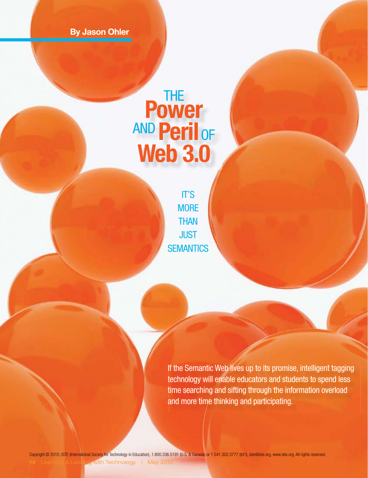By Jason Ohler

# Power AND Peril of

IT'S **MORE THAN JUST SEMANTICS** 

If the Semantic Web lives up to its promise, intelligent tagging technology will enable educators and students to spend less time searching and sifting through the information overload and more time thinking and participating.

with Technology | May 2010 Copyright © 2010, ISTE (International Society for Technology in Education), 1.800.336.5191 (U.S. & Canada) or 1.541.302.3777 (Int'l), iste@iste.org, www.iste.org. All rights reserved.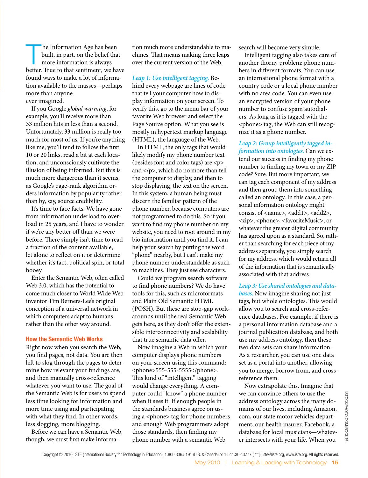The Information Age has been<br>built, in part, on the belief that<br>more information is always built, in part, on the belief that more information is always better. True to that sentiment, we have found ways to make a lot of information available to the masses—perhaps more than anyone ever imagined.

If you Google *global warming*, for example, you'll receive more than 33 million hits in less than a second. Unfortunately, 33 million is really too much for most of us. If you're anything like me, you'll tend to follow the first 10 or 20 links, read a bit at each location, and unconsciously cultivate the illusion of being informed. But this is much more dangerous than it seems, as Google's page-rank algorithm orders information by popularity rather than by, say, source credibility.

It's time to face facts: We have gone from information underload to overload in 25 years, and I have to wonder if we're any better off than we were before. There simply isn't time to read a fraction of the content available, let alone to reflect on it or determine whether it's fact, political spin, or total hooey.

Enter the Semantic Web, often called Web 3.0, which has the potential to come much closer to World Wide Web inventor Tim Berners-Lee's original conception of a universal network in which computers adapt to humans rather than the other way around.

#### How the Semantic Web Works

Right now when you search the Web, you find pages, not data. You are then left to slog through the pages to determine how relevant your findings are, and then manually cross-reference whatever you want to use. The goal of the Semantic Web is for users to spend less time looking for information and more time using and participating with what they find. In other words, less slogging, more blogging.

Before we can have a Semantic Web, though, we must first make information much more understandable to machines. That means making three leaps over the current version of the Web.

*Leap 1: Use intelligent tagging.* Behind every webpage are lines of code that tell your computer how to display information on your screen. To verify this, go to the menu bar of your favorite Web browser and select the Page Source option. What you see is mostly in hypertext markup language (HTML), the language of the Web.

In HTML, the only tags that would likely modify my phone number text (besides font and color tags) are <p> and  $\langle p \rangle$ , which do no more than tell the computer to display, and then to stop displaying, the text on the screen. In this system, a human being must discern the familiar pattern of the phone number, because computers are not programmed to do this. So if you want to find my phone number on my website, you need to root around in my bio information until you find it. I can help your search by putting the word "phone" nearby, but I can't make my phone number understandable as such to machines. They just see characters.

Could we program search software to find phone numbers? We do have tools for this, such as microformats and Plain Old Semantic HTML (POSH). But these are stop-gap workarounds until the real Semantic Web gets here, as they don't offer the extensible interconnectivity and scalability that true semantic data offer.

Now imagine a Web in which your computer displays phone numbers on your screen using this command: <phone>555-555-5555</phone>. This kind of "intelligent" tagging would change everything. A computer could "know" a phone number when it sees it. If enough people in the standards business agree on using a <phone> tag for phone numbers and enough Web programmers adopt those standards, then finding my phone number with a semantic Web

search will become very simple.

Intelligent tagging also takes care of another thorny problem: phone numbers in different formats. You can use an international phone format with a country code or a local phone number with no area code. You can even use an encrypted version of your phone number to confuse spam autodialers. As long as it is tagged with the <phone> tag, the Web can still recognize it as a phone number.

*Leap 2: Group intelligently tagged information into ontologies.* Can we extend our success in finding my phone number to finding my town or my ZIP code? Sure. But more important, we can tag each component of my address and then group them into something called an ontology. In this case, a personal information ontology might consist of <name>, <add1>, <add2>, <zip>, <phone>, <favoriteMusic>, or whatever the greater digital community has agreed upon as a standard. So, rather than searching for each piece of my address separately, you simply search for my address, which would return all of the information that is semantically associated with that address.

*Leap 3: Use shared ontologies and databases.* Now imagine sharing not just tags, but whole ontologies. This would allow you to search and cross-reference databases. For example, if there is a personal information database and a journal publication database, and both use my address ontology, then these two data sets can share information. As a researcher, you can use one data set as a portal into another, allowing you to merge, borrow from, and crossreference them.

Now extrapolate this. Imagine that we can convince others to use the address ontology across the many domains of our lives, including Amazon. com, our state motor vehicles department, our health insurer, Facebook, a database for local musicians—whatever intersects with your life. When you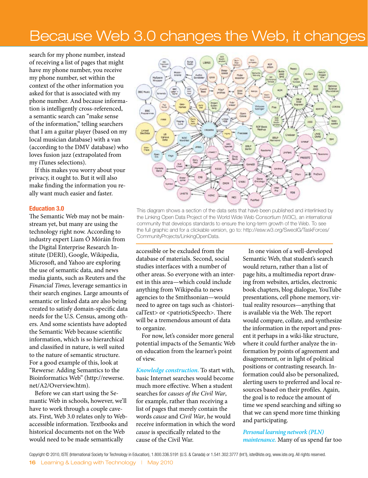# Because Web 3.0 changes the Web, it changes

search for my phone number, instead of receiving a list of pages that might have my phone number, you receive my phone number, set within the context of the other information you asked for that is associated with my phone number. And because information is intelligently cross-referenced, a semantic search can "make sense of the information," telling searchers that I am a guitar player (based on my local musician database) with a van (according to the DMV database) who loves fusion jazz (extrapolated from my iTunes selections).

If this makes you worry about your privacy, it ought to. But it will also make finding the information you really want much easier and faster.

#### Education 3.0

The Semantic Web may not be mainstream yet, but many are using the technology right now. According to industry expert Liam Ó Móráin from the Digital Enterprise Research Institute (DERI), Google, Wikipedia, Microsoft, and Yahoo are exploring the use of semantic data, and news media giants, such as Reuters and the *Financial Times,* leverage semantics in their search engines. Large amounts of semantic or linked data are also being created to satisfy domain-specific data needs for the U.S. Census, among others. And some scientists have adopted the Semantic Web because scientific information, which is so hierarchical and classified in nature, is well suited to the nature of semantic structure. For a good example of this, look at "Rewerse: Adding Semantics to the Bioinformatics Web" (http://rewerse. net/A2/Overview.htm).

Before we can start using the Semantic Web in schools, however, we'll have to work through a couple caveats. First, Web 3.0 relates only to Webaccessible information. Textbooks and historical documents not on the Web would need to be made semantically



This diagram shows a section of the data sets that have been published and interlinked by the Linking Open Data Project of the World Wide Web Consortium (W3C), an international community that develops standards to ensure the long-term growth of the Web. To see the full graphic and for a clickable version, go to: http://esw.w3.org/SweoIG/TaskForces/ CommunityProjects/LinkingOpenData.

accessible or be excluded from the database of materials. Second, social studies interfaces with a number of other areas. So everyone with an interest in this area—which could include anything from Wikipedia to news agencies to the Smithsonian—would need to agree on tags such as <historicalText> or <patrioticSpeech>. There will be a tremendous amount of data to organize.

For now, let's consider more general potential impacts of the Semantic Web on education from the learner's point of view.

*Knowledge construction.* To start with, basic Internet searches would become much more effective. When a student searches for *causes of the Civil War*, for example, rather than receiving a list of pages that merely contain the words *cause* and *Civil War*, he would receive information in which the word *cause* is specifically related to the cause of the Civil War.

In one vision of a well-developed Semantic Web, that student's search would return, rather than a list of page hits, a multimedia report drawing from websites, articles, electronic book chapters, blog dialogue, YouTube presentations, cell phone memory, virtual reality resources—anything that is available via the Web. The report would compare, collate, and synthesize the information in the report and present it perhaps in a wiki-like structure, where it could further analyze the information by points of agreement and disagreement, or in light of political positions or contrasting research. Information could also be personalized, alerting users to preferred and local resources based on their profiles. Again, the goal is to reduce the amount of time we spend searching and sifting so that we can spend more time thinking and participating.

*Personal learning network (PLN) maintenance.* Many of us spend far too